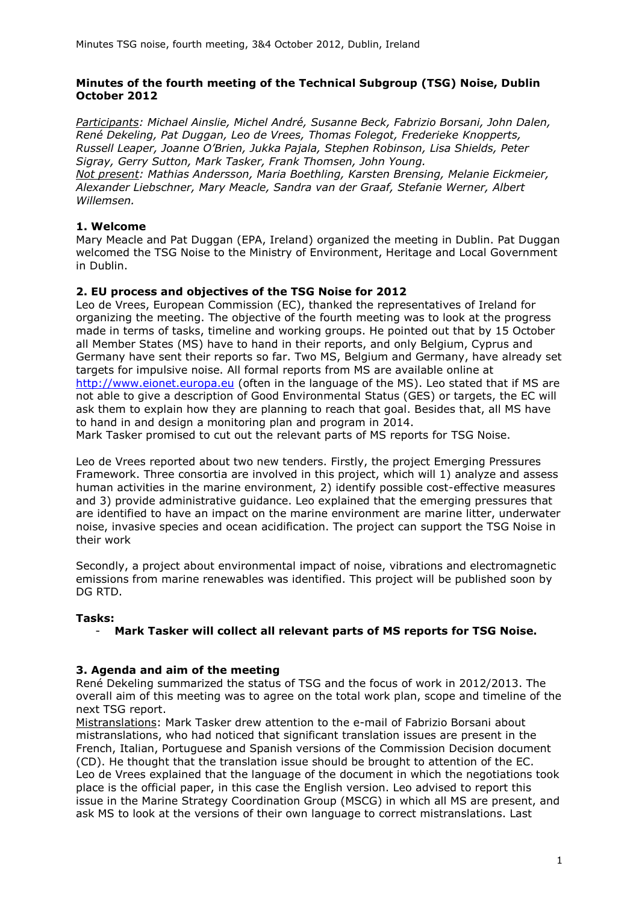## **Minutes of the fourth meeting of the Technical Subgroup (TSG) Noise, Dublin October 2012**

*Participants: Michael Ainslie, Michel André, Susanne Beck, Fabrizio Borsani, John Dalen, René Dekeling, Pat Duggan, Leo de Vrees, Thomas Folegot, Frederieke Knopperts, Russell Leaper, Joanne O'Brien, Jukka Pajala, Stephen Robinson, Lisa Shields, Peter Sigray, Gerry Sutton, Mark Tasker, Frank Thomsen, John Young. Not present: Mathias Andersson, Maria Boethling, Karsten Brensing, Melanie Eickmeier, Alexander Liebschner, Mary Meacle, Sandra van der Graaf, Stefanie Werner, Albert Willemsen.* 

# **1. Welcome**

Mary Meacle and Pat Duggan (EPA, Ireland) organized the meeting in Dublin. Pat Duggan welcomed the TSG Noise to the Ministry of Environment, Heritage and Local Government in Dublin.

# **2. EU process and objectives of the TSG Noise for 2012**

Leo de Vrees, European Commission (EC), thanked the representatives of Ireland for organizing the meeting. The objective of the fourth meeting was to look at the progress made in terms of tasks, timeline and working groups. He pointed out that by 15 October all Member States (MS) have to hand in their reports, and only Belgium, Cyprus and Germany have sent their reports so far. Two MS, Belgium and Germany, have already set targets for impulsive noise. All formal reports from MS are available online at [http://www.eionet.europa.eu](http://www.eionet.europa.eu/) (often in the language of the MS). Leo stated that if MS are not able to give a description of Good Environmental Status (GES) or targets, the EC will ask them to explain how they are planning to reach that goal. Besides that, all MS have to hand in and design a monitoring plan and program in 2014.

Mark Tasker promised to cut out the relevant parts of MS reports for TSG Noise.

Leo de Vrees reported about two new tenders. Firstly, the project Emerging Pressures Framework. Three consortia are involved in this project, which will 1) analyze and assess human activities in the marine environment, 2) identify possible cost-effective measures and 3) provide administrative guidance. Leo explained that the emerging pressures that are identified to have an impact on the marine environment are marine litter, underwater noise, invasive species and ocean acidification. The project can support the TSG Noise in their work

Secondly, a project about environmental impact of noise, vibrations and electromagnetic emissions from marine renewables was identified. This project will be published soon by DG RTD.

# **Tasks:**

# - **Mark Tasker will collect all relevant parts of MS reports for TSG Noise.**

# **3. Agenda and aim of the meeting**

René Dekeling summarized the status of TSG and the focus of work in 2012/2013. The overall aim of this meeting was to agree on the total work plan, scope and timeline of the next TSG report.

Mistranslations: Mark Tasker drew attention to the e-mail of Fabrizio Borsani about mistranslations, who had noticed that significant translation issues are present in the French, Italian, Portuguese and Spanish versions of the Commission Decision document (CD). He thought that the translation issue should be brought to attention of the EC. Leo de Vrees explained that the language of the document in which the negotiations took place is the official paper, in this case the English version. Leo advised to report this issue in the Marine Strategy Coordination Group (MSCG) in which all MS are present, and ask MS to look at the versions of their own language to correct mistranslations. Last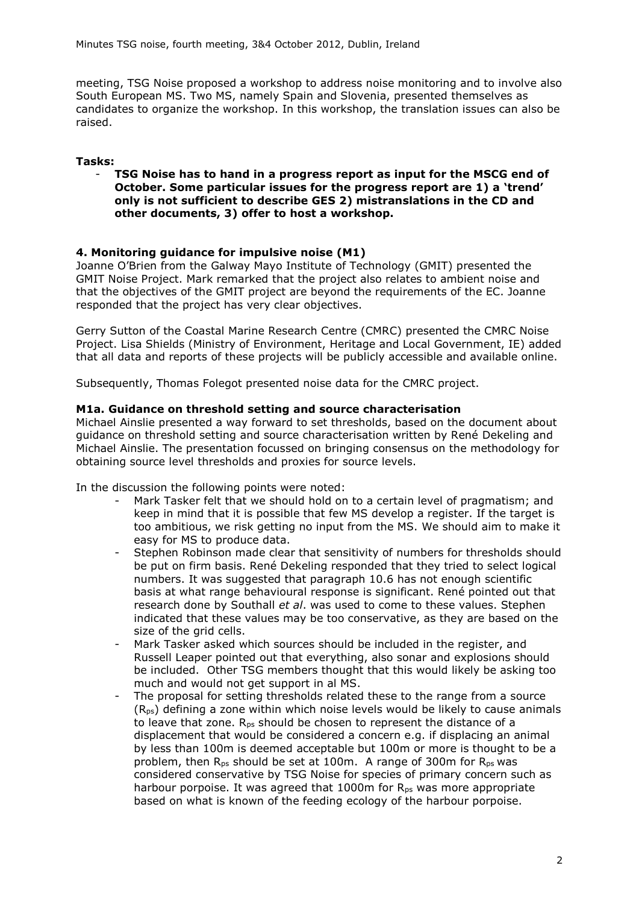meeting, TSG Noise proposed a workshop to address noise monitoring and to involve also South European MS. Two MS, namely Spain and Slovenia, presented themselves as candidates to organize the workshop. In this workshop, the translation issues can also be raised.

## **Tasks:**

- **TSG Noise has to hand in a progress report as input for the MSCG end of October. Some particular issues for the progress report are 1) a 'trend' only is not sufficient to describe GES 2) mistranslations in the CD and other documents, 3) offer to host a workshop.** 

### **4. Monitoring guidance for impulsive noise (M1)**

Joanne O'Brien from the Galway Mayo Institute of Technology (GMIT) presented the GMIT Noise Project. Mark remarked that the project also relates to ambient noise and that the objectives of the GMIT project are beyond the requirements of the EC. Joanne responded that the project has very clear objectives.

Gerry Sutton of the Coastal Marine Research Centre (CMRC) presented the CMRC Noise Project. Lisa Shields (Ministry of Environment, Heritage and Local Government, IE) added that all data and reports of these projects will be publicly accessible and available online.

Subsequently, Thomas Folegot presented noise data for the CMRC project.

### **M1a. Guidance on threshold setting and source characterisation**

Michael Ainslie presented a way forward to set thresholds, based on the document about guidance on threshold setting and source characterisation written by René Dekeling and Michael Ainslie. The presentation focussed on bringing consensus on the methodology for obtaining source level thresholds and proxies for source levels.

In the discussion the following points were noted:

- Mark Tasker felt that we should hold on to a certain level of pragmatism; and keep in mind that it is possible that few MS develop a register. If the target is too ambitious, we risk getting no input from the MS. We should aim to make it easy for MS to produce data.
- Stephen Robinson made clear that sensitivity of numbers for thresholds should be put on firm basis. René Dekeling responded that they tried to select logical numbers. It was suggested that paragraph 10.6 has not enough scientific basis at what range behavioural response is significant. René pointed out that research done by Southall *et al*. was used to come to these values. Stephen indicated that these values may be too conservative, as they are based on the size of the grid cells.
- Mark Tasker asked which sources should be included in the register, and Russell Leaper pointed out that everything, also sonar and explosions should be included. Other TSG members thought that this would likely be asking too much and would not get support in al MS.
- The proposal for setting thresholds related these to the range from a source  $(R_{ps})$  defining a zone within which noise levels would be likely to cause animals to leave that zone. R<sub>ps</sub> should be chosen to represent the distance of a displacement that would be considered a concern e.g. if displacing an animal by less than 100m is deemed acceptable but 100m or more is thought to be a problem, then  $R_{\text{ps}}$  should be set at 100m. A range of 300m for  $R_{\text{ps}}$  was considered conservative by TSG Noise for species of primary concern such as harbour porpoise. It was agreed that  $1000m$  for  $R_{ps}$  was more appropriate based on what is known of the feeding ecology of the harbour porpoise.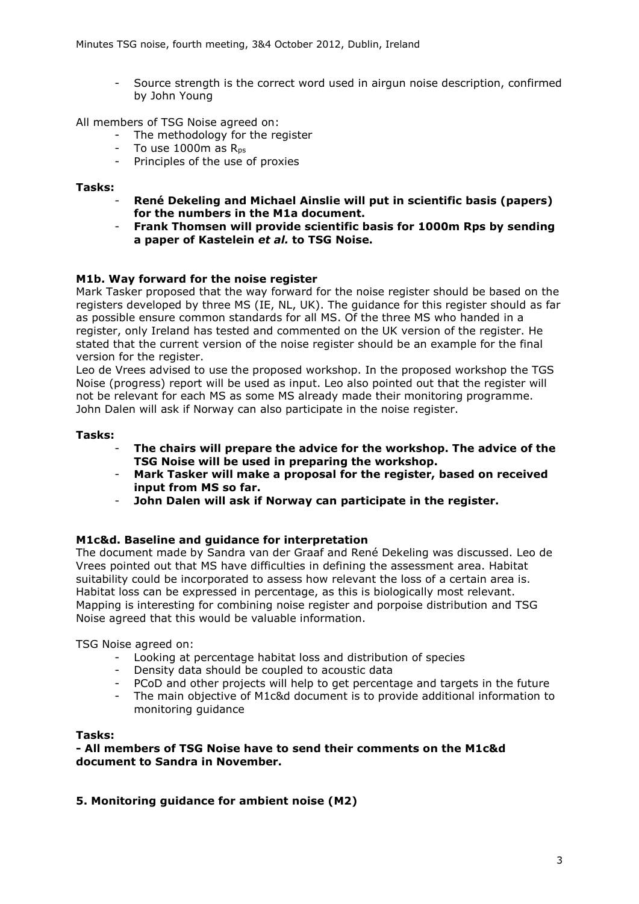Source strength is the correct word used in airgun noise description, confirmed by John Young

All members of TSG Noise agreed on:

- The methodology for the register
- $-$  To use 1000 $m$  as  $R_{\text{ns}}$
- Principles of the use of proxies

### **Tasks:**

- **René Dekeling and Michael Ainslie will put in scientific basis (papers) for the numbers in the M1a document.**
- **Frank Thomsen will provide scientific basis for 1000m Rps by sending a paper of Kastelein** *et al.* **to TSG Noise.**

### **M1b. Way forward for the noise register**

Mark Tasker proposed that the way forward for the noise register should be based on the registers developed by three MS (IE, NL, UK). The guidance for this register should as far as possible ensure common standards for all MS. Of the three MS who handed in a register, only Ireland has tested and commented on the UK version of the register. He stated that the current version of the noise register should be an example for the final version for the register.

Leo de Vrees advised to use the proposed workshop. In the proposed workshop the TGS Noise (progress) report will be used as input. Leo also pointed out that the register will not be relevant for each MS as some MS already made their monitoring programme. John Dalen will ask if Norway can also participate in the noise register.

### **Tasks:**

- **The chairs will prepare the advice for the workshop. The advice of the TSG Noise will be used in preparing the workshop.**
- **Mark Tasker will make a proposal for the register, based on received input from MS so far.**
- **John Dalen will ask if Norway can participate in the register.**

### **M1c&d. Baseline and guidance for interpretation**

The document made by Sandra van der Graaf and René Dekeling was discussed. Leo de Vrees pointed out that MS have difficulties in defining the assessment area. Habitat suitability could be incorporated to assess how relevant the loss of a certain area is. Habitat loss can be expressed in percentage, as this is biologically most relevant. Mapping is interesting for combining noise register and porpoise distribution and TSG Noise agreed that this would be valuable information.

### TSG Noise agreed on:

- Looking at percentage habitat loss and distribution of species
- Density data should be coupled to acoustic data
- PCoD and other projects will help to get percentage and targets in the future
- The main objective of M1c&d document is to provide additional information to monitoring guidance

## **Tasks:**

**- All members of TSG Noise have to send their comments on the M1c&d document to Sandra in November.** 

# **5. Monitoring guidance for ambient noise (M2)**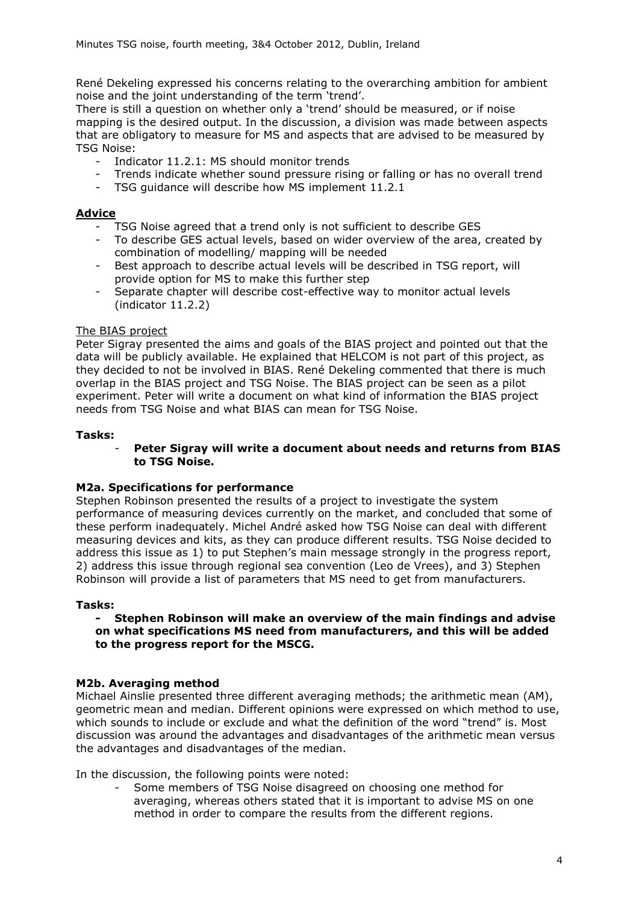René Dekeling expressed his concerns relating to the overarching ambition for ambient noise and the joint understanding of the term 'trend'.

There is still a question on whether only a 'trend' should be measured, or if noise mapping is the desired output. In the discussion, a division was made between aspects that are obligatory to measure for MS and aspects that are advised to be measured by TSG Noise:

- Indicator 11.2.1: MS should monitor trends
- Trends indicate whether sound pressure rising or falling or has no overall trend
- TSG guidance will describe how MS implement 11.2.1

## **Advice**

- TSG Noise agreed that a trend only is not sufficient to describe GES
- To describe GES actual levels, based on wider overview of the area, created by combination of modelling/ mapping will be needed
- Best approach to describe actual levels will be described in TSG report, will provide option for MS to make this further step
- Separate chapter will describe cost-effective way to monitor actual levels (indicator 11.2.2)

### The BIAS project

Peter Sigray presented the aims and goals of the BIAS project and pointed out that the data will be publicly available. He explained that HELCOM is not part of this project, as they decided to not be involved in BIAS. René Dekeling commented that there is much overlap in the BIAS project and TSG Noise. The BIAS project can be seen as a pilot experiment. Peter will write a document on what kind of information the BIAS project needs from TSG Noise and what BIAS can mean for TSG Noise.

### **Tasks:**

### - **Peter Sigray will write a document about needs and returns from BIAS to TSG Noise.**

### **M2a. Specifications for performance**

Stephen Robinson presented the results of a project to investigate the system performance of measuring devices currently on the market, and concluded that some of these perform inadequately. Michel André asked how TSG Noise can deal with different measuring devices and kits, as they can produce different results. TSG Noise decided to address this issue as 1) to put Stephen's main message strongly in the progress report, 2) address this issue through regional sea convention (Leo de Vrees), and 3) Stephen Robinson will provide a list of parameters that MS need to get from manufacturers.

### **Tasks:**

#### **- Stephen Robinson will make an overview of the main findings and advise on what specifications MS need from manufacturers, and this will be added to the progress report for the MSCG.**

### **M2b. Averaging method**

Michael Ainslie presented three different averaging methods; the arithmetic mean (AM), geometric mean and median. Different opinions were expressed on which method to use, which sounds to include or exclude and what the definition of the word "trend" is. Most discussion was around the advantages and disadvantages of the arithmetic mean versus the advantages and disadvantages of the median.

In the discussion, the following points were noted:

Some members of TSG Noise disagreed on choosing one method for averaging, whereas others stated that it is important to advise MS on one method in order to compare the results from the different regions.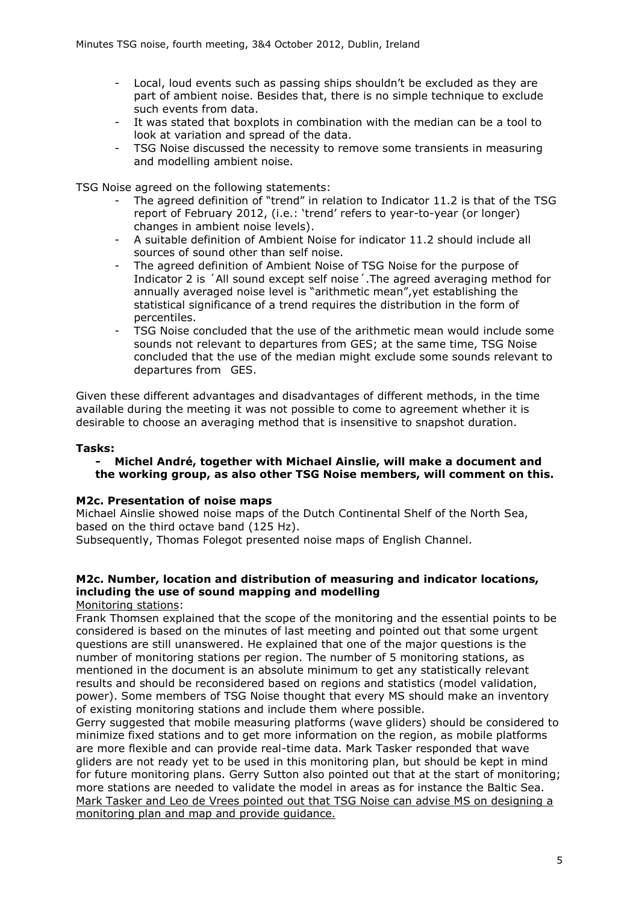- Local, loud events such as passing ships shouldn't be excluded as they are part of ambient noise. Besides that, there is no simple technique to exclude such events from data.
- It was stated that boxplots in combination with the median can be a tool to look at variation and spread of the data.
- TSG Noise discussed the necessity to remove some transients in measuring and modelling ambient noise.

TSG Noise agreed on the following statements:

- The agreed definition of "trend" in relation to Indicator 11.2 is that of the TSG report of February 2012, (i.e.: 'trend' refers to year-to-year (or longer) changes in ambient noise levels).
- A suitable definition of Ambient Noise for indicator 11.2 should include all sources of sound other than self noise.
- The agreed definition of Ambient Noise of TSG Noise for the purpose of Indicator 2 is ´All sound except self noise´.The agreed averaging method for annually averaged noise level is "arithmetic mean",yet establishing the statistical significance of a trend requires the distribution in the form of percentiles.
- TSG Noise concluded that the use of the arithmetic mean would include some sounds not relevant to departures from GES; at the same time, TSG Noise concluded that the use of the median might exclude some sounds relevant to departures from GES.

Given these different advantages and disadvantages of different methods, in the time available during the meeting it was not possible to come to agreement whether it is desirable to choose an averaging method that is insensitive to snapshot duration.

### **Tasks:**

### **- Michel André, together with Michael Ainslie, will make a document and the working group, as also other TSG Noise members, will comment on this.**

### **M2c. Presentation of noise maps**

Michael Ainslie showed noise maps of the Dutch Continental Shelf of the North Sea, based on the third octave band (125 Hz).

Subsequently, Thomas Folegot presented noise maps of English Channel.

# **M2c. Number, location and distribution of measuring and indicator locations, including the use of sound mapping and modelling**

Monitoring stations:

Frank Thomsen explained that the scope of the monitoring and the essential points to be considered is based on the minutes of last meeting and pointed out that some urgent questions are still unanswered. He explained that one of the major questions is the number of monitoring stations per region. The number of 5 monitoring stations, as mentioned in the document is an absolute minimum to get any statistically relevant results and should be reconsidered based on regions and statistics (model validation, power). Some members of TSG Noise thought that every MS should make an inventory of existing monitoring stations and include them where possible.

Gerry suggested that mobile measuring platforms (wave gliders) should be considered to minimize fixed stations and to get more information on the region, as mobile platforms are more flexible and can provide real-time data. Mark Tasker responded that wave gliders are not ready yet to be used in this monitoring plan, but should be kept in mind for future monitoring plans. Gerry Sutton also pointed out that at the start of monitoring; more stations are needed to validate the model in areas as for instance the Baltic Sea. Mark Tasker and Leo de Vrees pointed out that TSG Noise can advise MS on designing a monitoring plan and map and provide guidance.